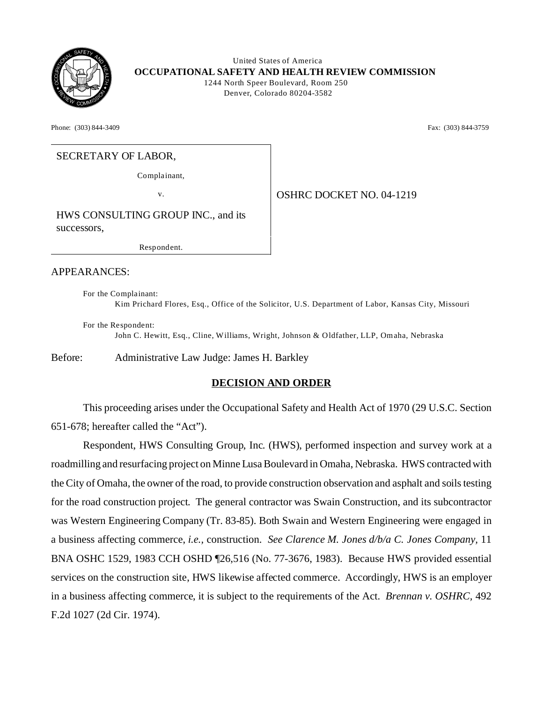

 United States of America **OCCUPATIONAL SAFETY AND HEALTH REVIEW COMMISSION** 1244 North Speer Boulevard, Room 250 Denver, Colorado 80204-3582

Phone: (303) 844-3409 **Fax:** (303) 844-3759

## SECRETARY OF LABOR,

Complainant,

v. 04-1219

HWS CONSULTING GROUP INC., and its successors,

Resp ond ent.

#### APPEARANCES:

For the Complainant: Kim Prichard Flores, Esq., Office of the Solicitor, U.S. Department of Labor, Kansas City, Missouri

For the Respondent: John C. Hewitt, Esq., Cline, W illiams, Wright, Johnson & O ldfather, LLP, Om aha, Nebraska

Before: Administrative Law Judge: James H. Barkley

### **DECISION AND ORDER**

This proceeding arises under the Occupational Safety and Health Act of 1970 (29 U.S.C. Section 651-678; hereafter called the "Act").

Respondent, HWS Consulting Group, Inc. (HWS), performed inspection and survey work at a roadmilling and resurfacing project on Minne Lusa Boulevard in Omaha, Nebraska. HWS contracted with the City of Omaha, the owner of the road, to provide construction observation and asphalt and soils testing for the road construction project. The general contractor was Swain Construction, and its subcontractor was Western Engineering Company (Tr. 83-85). Both Swain and Western Engineering were engaged in a business affecting commerce, *i.e.,* construction. *See Clarence M. Jones d/b/a C. Jones Company,* 11 BNA OSHC 1529, 1983 CCH OSHD ¶26,516 (No. 77-3676, 1983). Because HWS provided essential services on the construction site, HWS likewise affected commerce. Accordingly, HWS is an employer in a business affecting commerce, it is subject to the requirements of the Act. *Brennan v. OSHRC,* 492 F.2d 1027 (2d Cir. 1974).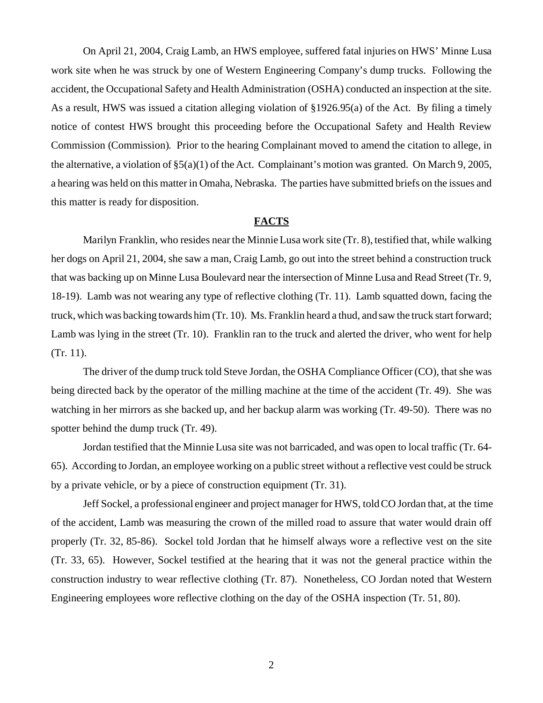On April 21, 2004, Craig Lamb, an HWS employee, suffered fatal injuries on HWS' Minne Lusa work site when he was struck by one of Western Engineering Company's dump trucks. Following the accident, the Occupational Safety and Health Administration (OSHA) conducted an inspection at the site. As a result, HWS was issued a citation alleging violation of §1926.95(a) of the Act. By filing a timely notice of contest HWS brought this proceeding before the Occupational Safety and Health Review Commission (Commission). Prior to the hearing Complainant moved to amend the citation to allege, in the alternative, a violation of §5(a)(1) of the Act. Complainant's motion was granted. On March 9, 2005, a hearing was held on this matter in Omaha, Nebraska. The parties have submitted briefs on the issues and this matter is ready for disposition.

### **FACTS**

Marilyn Franklin, who resides near the Minnie Lusa work site (Tr. 8), testified that, while walking her dogs on April 21, 2004, she saw a man, Craig Lamb, go out into the street behind a construction truck that was backing up on Minne Lusa Boulevard near the intersection of Minne Lusa and Read Street (Tr. 9, 18-19). Lamb was not wearing any type of reflective clothing (Tr. 11). Lamb squatted down, facing the truck, which was backing towards him (Tr. 10). Ms. Franklin heard a thud, and saw the truck start forward; Lamb was lying in the street (Tr. 10). Franklin ran to the truck and alerted the driver, who went for help (Tr. 11).

The driver of the dump truck told Steve Jordan, the OSHA Compliance Officer (CO), that she was being directed back by the operator of the milling machine at the time of the accident (Tr. 49). She was watching in her mirrors as she backed up, and her backup alarm was working (Tr. 49-50). There was no spotter behind the dump truck (Tr. 49).

Jordan testified that the Minnie Lusa site was not barricaded, and was open to local traffic (Tr. 64 65). According to Jordan, an employee working on a public street without a reflective vest could be struck by a private vehicle, or by a piece of construction equipment (Tr. 31).

Jeff Sockel, a professional engineer and project manager for HWS, told CO Jordan that, at the time of the accident, Lamb was measuring the crown of the milled road to assure that water would drain off properly (Tr. 32, 85-86). Sockel told Jordan that he himself always wore a reflective vest on the site (Tr. 33, 65). However, Sockel testified at the hearing that it was not the general practice within the construction industry to wear reflective clothing (Tr. 87). Nonetheless, CO Jordan noted that Western Engineering employees wore reflective clothing on the day of the OSHA inspection (Tr. 51, 80).

2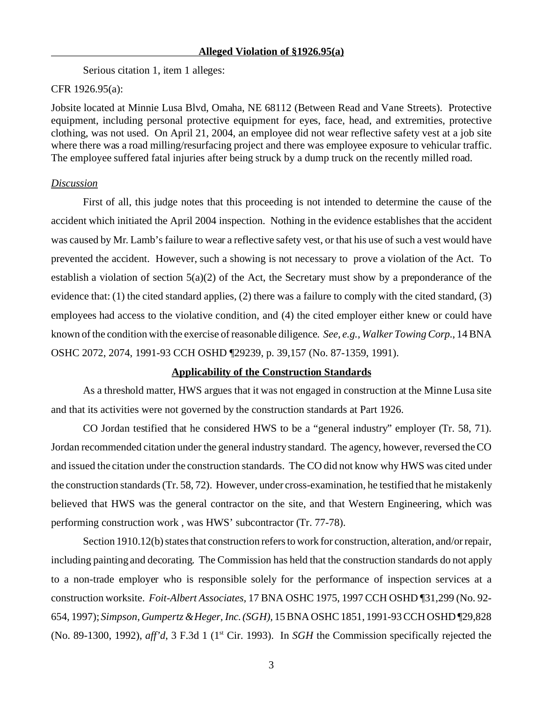Serious citation 1, item 1 alleges:

#### CFR 1926.95(a):

Jobsite located at Minnie Lusa Blvd, Omaha, NE 68112 (Between Read and Vane Streets). Protective equipment, including personal protective equipment for eyes, face, head, and extremities, protective clothing, was not used. On April 21, 2004, an employee did not wear reflective safety vest at a job site where there was a road milling/resurfacing project and there was employee exposure to vehicular traffic. The employee suffered fatal injuries after being struck by a dump truck on the recently milled road.

## *Discussion*

First of all, this judge notes that this proceeding is not intended to determine the cause of the accident which initiated the April 2004 inspection. Nothing in the evidence establishes that the accident was caused by Mr. Lamb's failure to wear a reflective safety vest, or that his use of such a vest would have prevented the accident. However, such a showing is not necessary to prove a violation of the Act. To establish a violation of section 5(a)(2) of the Act, the Secretary must show by a preponderance of the evidence that: (1) the cited standard applies, (2) there was a failure to comply with the cited standard, (3) employees had access to the violative condition, and (4) the cited employer either knew or could have known of the condition with the exercise of reasonable diligence. *See, e.g., Walker Towing Corp.*, 14 BNA OSHC 2072, 2074, 1991-93 CCH OSHD ¶29239, p. 39,157 (No. 87-1359, 1991).

#### **Applicability of the Construction Standards**

As a threshold matter, HWS argues that it was not engaged in construction at the Minne Lusa site and that its activities were not governed by the construction standards at Part 1926.

CO Jordan testified that he considered HWS to be a "general industry" employer (Tr. 58, 71). Jordan recommended citation under the general industry standard. The agency, however, reversed the CO and issued the citation under the construction standards. The CO did not know why HWS was cited under the construction standards (Tr. 58, 72). However, under cross-examination, he testified that he mistakenly believed that HWS was the general contractor on the site, and that Western Engineering, which was performing construction work , was HWS' subcontractor (Tr. 77-78).

Section 1910.12(b) states that construction refers to work for construction, alteration, and/or repair, including painting and decorating. The Commission has held that the construction standards do not apply to a non-trade employer who is responsible solely for the performance of inspection services at a construction worksite. *Foit-Albert Associates,* 17 BNA OSHC 1975, 1997 CCH OSHD ¶31,299 (No. 92 654, 1997); *Simpson, Gumpertz & Heger, Inc. (SGH),* 15 BNA OSHC 1851, 1991-93 CCH OSHD ¶29,828 (No. 89-1300, 1992), *aff'd*, 3 F.3d 1 (1st Cir. 1993). In *SGH* the Commission specifically rejected the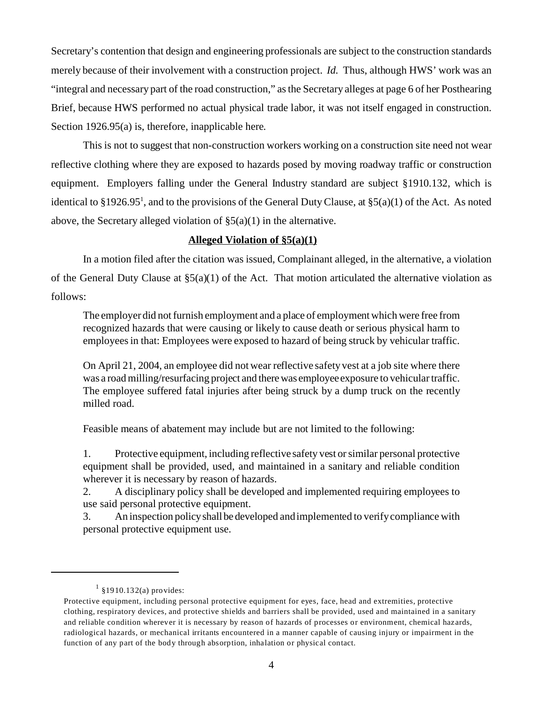Secretary's contention that design and engineering professionals are subject to the construction standards merely because of their involvement with a construction project. *Id.* Thus, although HWS' work was an "integral and necessary part of the road construction," as the Secretary alleges at page 6 of her Posthearing Brief, because HWS performed no actual physical trade labor, it was not itself engaged in construction. Section 1926.95(a) is, therefore, inapplicable here.

This is not to suggest that non-construction workers working on a construction site need not wear reflective clothing where they are exposed to hazards posed by moving roadway traffic or construction equipment. Employers falling under the General Industry standard are subject §1910.132, which is identical to  $\S 1926.95^1$ , and to the provisions of the General Duty Clause, at  $\S 5(a)(1)$  of the Act. As noted above, the Secretary alleged violation of  $\S(3a)(1)$  in the alternative.

## **Alleged Violation of §5(a)(1)**

In a motion filed after the citation was issued, Complainant alleged, in the alternative, a violation of the General Duty Clause at  $\S5(a)(1)$  of the Act. That motion articulated the alternative violation as follows:

The employer did not furnish employment and a place of employment which were free from recognized hazards that were causing or likely to cause death or serious physical harm to employees in that: Employees were exposed to hazard of being struck by vehicular traffic.

On April 21, 2004, an employee did not wear reflective safety vest at a job site where there was a road milling/resurfacing project and there was employee exposure to vehicular traffic. The employee suffered fatal injuries after being struck by a dump truck on the recently milled road.

Feasible means of abatement may include but are not limited to the following:

1. Protective equipment, including reflective safety vest or similar personal protective equipment shall be provided, used, and maintained in a sanitary and reliable condition wherever it is necessary by reason of hazards.

2. A disciplinary policy shall be developed and implemented requiring employees to use said personal protective equipment.

3. An inspection policy shall be developed and implemented to verify compliance with personal protective equipment use.

 $1$  §1910.132(a) provides:

Protective equipment, including personal protective equipment for eyes, face, head and extremities, protective clothing, respiratory devices, and protective shields and barriers shall be provided, used and maintained in a sanitary and reliable condition wherever it is necessary by reason of hazards of processes or environment, chemical hazards, radiological hazards, or mechanical irritants encountered in a manner capable of causing injury or impairment in the function of any part of the body through absorption, inhalation or physical contact.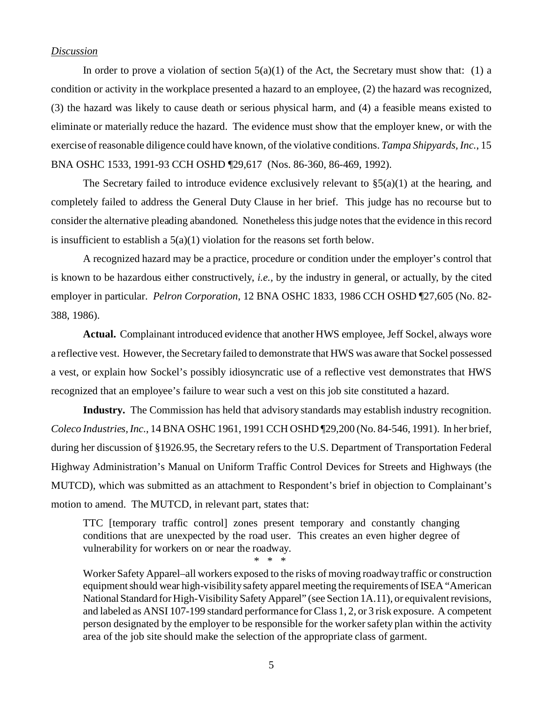### *Discussion*

In order to prove a violation of section  $5(a)(1)$  of the Act, the Secretary must show that: (1) a condition or activity in the workplace presented a hazard to an employee, (2) the hazard was recognized, (3) the hazard was likely to cause death or serious physical harm, and (4) a feasible means existed to eliminate or materially reduce the hazard. The evidence must show that the employer knew, or with the exercise of reasonable diligence could have known, of the violative conditions. *Tampa Shipyards, Inc.*, 15 BNA OSHC 1533, 1991-93 CCH OSHD ¶29,617 (Nos. 86-360, 86-469, 1992).

The Secretary failed to introduce evidence exclusively relevant to  $\S(5a)(1)$  at the hearing, and completely failed to address the General Duty Clause in her brief. This judge has no recourse but to consider the alternative pleading abandoned. Nonetheless this judge notes that the evidence in this record is insufficient to establish a  $5(a)(1)$  violation for the reasons set forth below.

A recognized hazard may be a practice, procedure or condition under the employer's control that is known to be hazardous either constructively, *i.e.,* by the industry in general, or actually, by the cited employer in particular. *Pelron Corporation*, 12 BNA OSHC 1833, 1986 CCH OSHD ¶27,605 (No. 82 388, 1986).

**Actual.** Complainant introduced evidence that another HWS employee, Jeff Sockel, always wore a reflective vest. However, the Secretary failed to demonstrate that HWS was aware that Sockel possessed a vest, or explain how Sockel's possibly idiosyncratic use of a reflective vest demonstrates that HWS recognized that an employee's failure to wear such a vest on this job site constituted a hazard.

**Industry.** The Commission has held that advisory standards may establish industry recognition. *Coleco Industries, Inc.*, 14 BNA OSHC 1961, 1991 CCH OSHD ¶29,200 (No. 84-546, 1991). In her brief, during her discussion of §1926.95, the Secretary refers to the U.S. Department of Transportation Federal Highway Administration's Manual on Uniform Traffic Control Devices for Streets and Highways (the MUTCD), which was submitted as an attachment to Respondent's brief in objection to Complainant's motion to amend. The MUTCD, in relevant part, states that:

TTC [temporary traffic control] zones present temporary and constantly changing conditions that are unexpected by the road user. This creates an even higher degree of vulnerability for workers on or near the roadway.

\* \* \*

Worker Safety Apparel–all workers exposed to the risks of moving roadway traffic or construction equipment should wear high-visibility safety apparel meeting the requirements of ISEA "American National Standard for High-Visibility Safety Apparel" (see Section 1A.11), or equivalent revisions, and labeled as ANSI 107-199 standard performance for Class 1, 2, or 3 risk exposure. A competent person designated by the employer to be responsible for the worker safety plan within the activity area of the job site should make the selection of the appropriate class of garment.